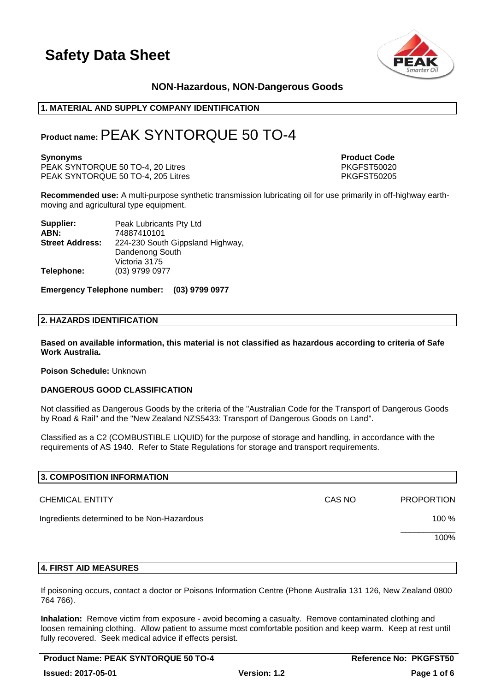

### **NON-Hazardous, NON-Dangerous Goods**

### **1. MATERIAL AND SUPPLY COMPANY IDENTIFICATION**

### **Product name:**PEAK SYNTORQUE 50 TO-4

PEAK SYNTORQUE 50 TO-4, 20 Litres PEAK SYNTORQUE 50 TO-4, 20 Litres<br>PEAK SYNTORQUE 50 TO-4. 205 Litres PKGFST50205 PEAK SYNTORQUE 50 TO-4, 205 Litres

**Synonyms Product Code** 

**Recommended use:** A multi-purpose synthetic transmission lubricating oil for use primarily in off-highway earthmoving and agricultural type equipment.

| Supplier:              | Peak Lubricants Pty Ltd          |
|------------------------|----------------------------------|
| ABN:                   | 74887410101                      |
| <b>Street Address:</b> | 224-230 South Gippsland Highway, |
|                        | Dandenong South                  |
|                        | Victoria 3175                    |
| Telephone:             | (03) 9799 0977                   |

**Emergency Telephone number: (03) 9799 0977**

### **2. HAZARDS IDENTIFICATION**

**Based on available information, this material is not classified as hazardous according to criteria of Safe Work Australia.**

### **Poison Schedule:** Unknown

### **DANGEROUS GOOD CLASSIFICATION**

Not classified as Dangerous Goods by the criteria of the "Australian Code for the Transport of Dangerous Goods by Road & Rail" and the "New Zealand NZS5433: Transport of Dangerous Goods on Land".

Classified as a C2 (COMBUSTIBLE LIQUID) for the purpose of storage and handling, in accordance with the requirements of AS 1940. Refer to State Regulations for storage and transport requirements.

| 3. COMPOSITION INFORMATION                 |        |                   |
|--------------------------------------------|--------|-------------------|
| <b>CHEMICAL ENTITY</b>                     | CAS NO | <b>PROPORTION</b> |
| Ingredients determined to be Non-Hazardous |        | 100 %             |
|                                            |        | 100%              |
|                                            |        |                   |

### **4. FIRST AID MEASURES**

If poisoning occurs, contact a doctor or Poisons Information Centre (Phone Australia 131 126, New Zealand 0800 764 766).

**Inhalation:** Remove victim from exposure - avoid becoming a casualty. Remove contaminated clothing and loosen remaining clothing. Allow patient to assume most comfortable position and keep warm. Keep at rest until fully recovered. Seek medical advice if effects persist.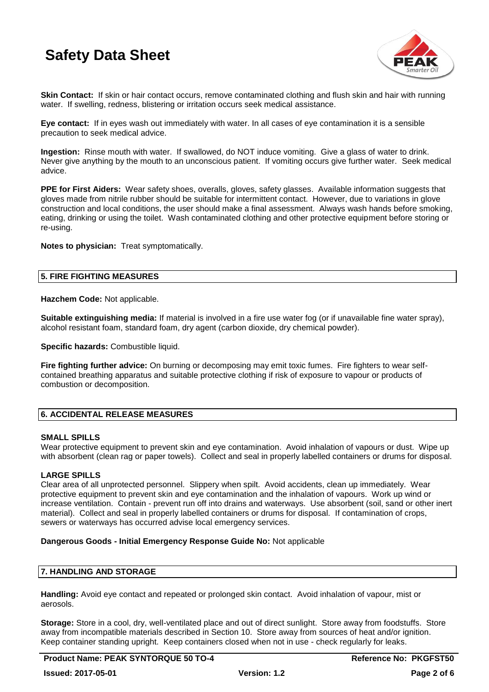

**Skin Contact:** If skin or hair contact occurs, remove contaminated clothing and flush skin and hair with running water. If swelling, redness, blistering or irritation occurs seek medical assistance.

**Eye contact:** If in eyes wash out immediately with water. In all cases of eye contamination it is a sensible precaution to seek medical advice.

**Ingestion:** Rinse mouth with water. If swallowed, do NOT induce vomiting. Give a glass of water to drink. Never give anything by the mouth to an unconscious patient. If vomiting occurs give further water. Seek medical advice.

**PPE for First Aiders:** Wear safety shoes, overalls, gloves, safety glasses. Available information suggests that gloves made from nitrile rubber should be suitable for intermittent contact. However, due to variations in glove construction and local conditions, the user should make a final assessment. Always wash hands before smoking, eating, drinking or using the toilet. Wash contaminated clothing and other protective equipment before storing or re-using.

**Notes to physician:** Treat symptomatically.

### **5. FIRE FIGHTING MEASURES**

**Hazchem Code:** Not applicable.

**Suitable extinguishing media:** If material is involved in a fire use water fog (or if unavailable fine water spray), alcohol resistant foam, standard foam, dry agent (carbon dioxide, dry chemical powder).

**Specific hazards:** Combustible liquid.

**Fire fighting further advice:** On burning or decomposing may emit toxic fumes. Fire fighters to wear selfcontained breathing apparatus and suitable protective clothing if risk of exposure to vapour or products of combustion or decomposition.

### **6. ACCIDENTAL RELEASE MEASURES**

### **SMALL SPILLS**

Wear protective equipment to prevent skin and eye contamination. Avoid inhalation of vapours or dust. Wipe up with absorbent (clean rag or paper towels). Collect and seal in properly labelled containers or drums for disposal.

### **LARGE SPILLS**

Clear area of all unprotected personnel. Slippery when spilt. Avoid accidents, clean up immediately. Wear protective equipment to prevent skin and eye contamination and the inhalation of vapours. Work up wind or increase ventilation. Contain - prevent run off into drains and waterways. Use absorbent (soil, sand or other inert material). Collect and seal in properly labelled containers or drums for disposal. If contamination of crops, sewers or waterways has occurred advise local emergency services.

### **Dangerous Goods - Initial Emergency Response Guide No:** Not applicable

### **7. HANDLING AND STORAGE**

**Handling:** Avoid eye contact and repeated or prolonged skin contact. Avoid inhalation of vapour, mist or aerosols.

**Storage:** Store in a cool, dry, well-ventilated place and out of direct sunlight. Store away from foodstuffs. Store away from incompatible materials described in Section 10. Store away from sources of heat and/or ignition. Keep container standing upright. Keep containers closed when not in use - check regularly for leaks.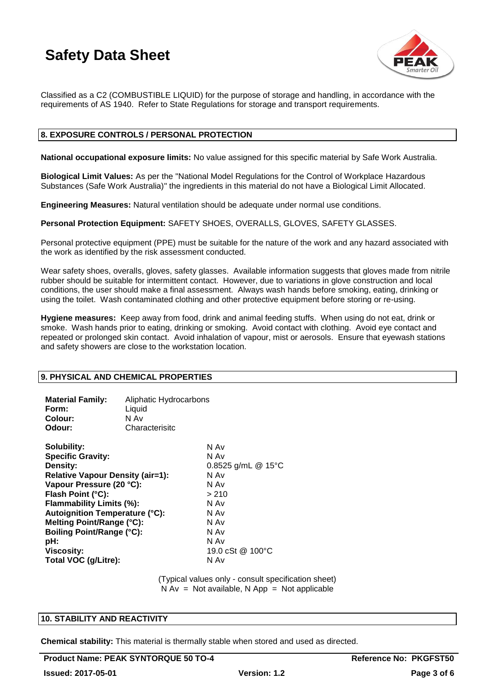

Classified as a C2 (COMBUSTIBLE LIQUID) for the purpose of storage and handling, in accordance with the requirements of AS 1940. Refer to State Regulations for storage and transport requirements.

### **8. EXPOSURE CONTROLS / PERSONAL PROTECTION**

**National occupational exposure limits:** No value assigned for this specific material by Safe Work Australia.

**Biological Limit Values:** As per the "National Model Regulations for the Control of Workplace Hazardous Substances (Safe Work Australia)" the ingredients in this material do not have a Biological Limit Allocated.

**Engineering Measures:** Natural ventilation should be adequate under normal use conditions.

**Personal Protection Equipment:** SAFETY SHOES, OVERALLS, GLOVES, SAFETY GLASSES.

Personal protective equipment (PPE) must be suitable for the nature of the work and any hazard associated with the work as identified by the risk assessment conducted.

Wear safety shoes, overalls, gloves, safety glasses. Available information suggests that gloves made from nitrile rubber should be suitable for intermittent contact. However, due to variations in glove construction and local conditions, the user should make a final assessment. Always wash hands before smoking, eating, drinking or using the toilet. Wash contaminated clothing and other protective equipment before storing or re-using.

**Hygiene measures:** Keep away from food, drink and animal feeding stuffs. When using do not eat, drink or smoke. Wash hands prior to eating, drinking or smoking. Avoid contact with clothing. Avoid eye contact and repeated or prolonged skin contact. Avoid inhalation of vapour, mist or aerosols. Ensure that eyewash stations and safety showers are close to the workstation location.

### **9. PHYSICAL AND CHEMICAL PROPERTIES**

| <b>Material Family:</b><br>Form:<br>Colour:<br>Odour:                                                                                                                                                                                                                                                                                            | Aliphatic Hydrocarbons<br>Liquid<br>N Av<br>Characterisitc |                                                                                                                                  |
|--------------------------------------------------------------------------------------------------------------------------------------------------------------------------------------------------------------------------------------------------------------------------------------------------------------------------------------------------|------------------------------------------------------------|----------------------------------------------------------------------------------------------------------------------------------|
| Solubility:<br><b>Specific Gravity:</b><br><b>Density:</b><br><b>Relative Vapour Density (air=1):</b><br>Vapour Pressure (20 °C):<br>Flash Point (°C):<br>Flammability Limits (%):<br><b>Autoignition Temperature (°C):</b><br>Melting Point/Range (°C):<br><b>Boiling Point/Range (°C):</b><br>pH:<br><b>Viscosity:</b><br>Total VOC (g/Litre): |                                                            | N Av<br>N Av<br>0.8525 g/mL @ 15°C<br>N Av<br>N Av<br>> 210<br>N Av<br>N Av<br>N Av<br>N Av<br>N Av<br>19.0 cSt @ 100 °C<br>N Av |

(Typical values only - consult specification sheet)  $N Av = Not available, N App = Not applicable$ 

### **10. STABILITY AND REACTIVITY**

**Chemical stability:** This material is thermally stable when stored and used as directed.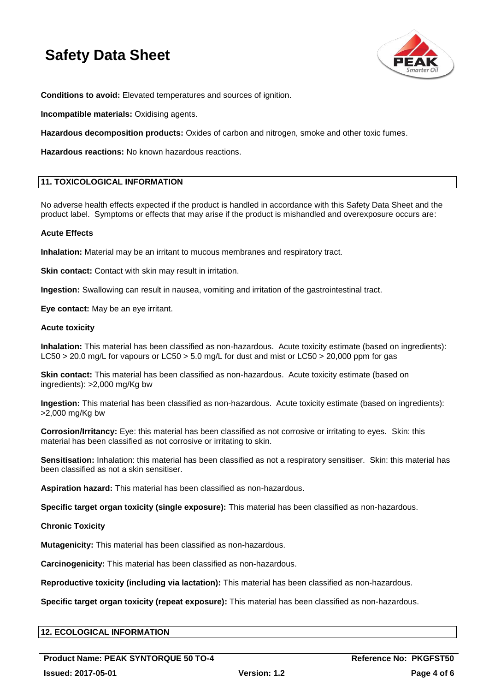

**Conditions to avoid:** Elevated temperatures and sources of ignition.

**Incompatible materials:** Oxidising agents.

**Hazardous decomposition products:** Oxides of carbon and nitrogen, smoke and other toxic fumes.

**Hazardous reactions:** No known hazardous reactions.

### **11. TOXICOLOGICAL INFORMATION**

No adverse health effects expected if the product is handled in accordance with this Safety Data Sheet and the product label. Symptoms or effects that may arise if the product is mishandled and overexposure occurs are:

### **Acute Effects**

**Inhalation:** Material may be an irritant to mucous membranes and respiratory tract.

**Skin contact:** Contact with skin may result in irritation.

**Ingestion:** Swallowing can result in nausea, vomiting and irritation of the gastrointestinal tract.

**Eye contact:** May be an eye irritant.

### **Acute toxicity**

**Inhalation:** This material has been classified as non-hazardous. Acute toxicity estimate (based on ingredients): LC50 > 20.0 mg/L for vapours or LC50 > 5.0 mg/L for dust and mist or LC50 > 20,000 ppm for gas

**Skin contact:** This material has been classified as non-hazardous. Acute toxicity estimate (based on ingredients): >2,000 mg/Kg bw

**Ingestion:** This material has been classified as non-hazardous. Acute toxicity estimate (based on ingredients): >2,000 mg/Kg bw

**Corrosion/Irritancy:** Eye: this material has been classified as not corrosive or irritating to eyes. Skin: this material has been classified as not corrosive or irritating to skin.

**Sensitisation:** Inhalation: this material has been classified as not a respiratory sensitiser. Skin: this material has been classified as not a skin sensitiser.

**Aspiration hazard:** This material has been classified as non-hazardous.

**Specific target organ toxicity (single exposure):** This material has been classified as non-hazardous.

### **Chronic Toxicity**

**Mutagenicity:** This material has been classified as non-hazardous.

**Carcinogenicity:** This material has been classified as non-hazardous.

**Reproductive toxicity (including via lactation):** This material has been classified as non-hazardous.

**Specific target organ toxicity (repeat exposure):** This material has been classified as non-hazardous.

### **12. ECOLOGICAL INFORMATION**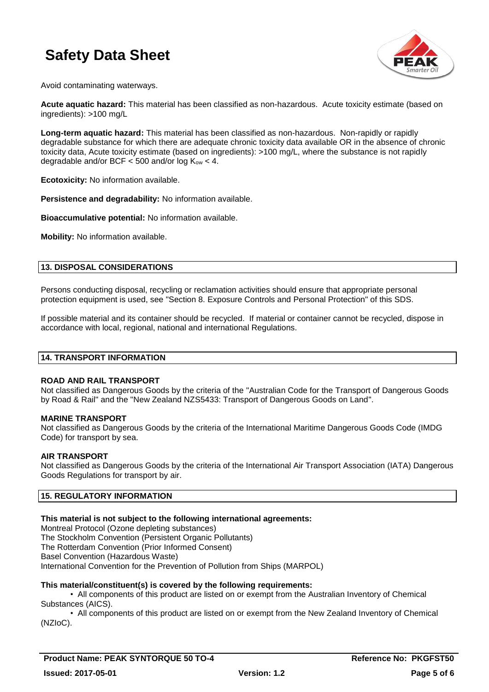

Avoid contaminating waterways.

**Acute aquatic hazard:** This material has been classified as non-hazardous. Acute toxicity estimate (based on ingredients): >100 mg/L

**Long-term aquatic hazard:** This material has been classified as non-hazardous. Non-rapidly or rapidly degradable substance for which there are adequate chronic toxicity data available OR in the absence of chronic toxicity data, Acute toxicity estimate (based on ingredients): >100 mg/L, where the substance is not rapidly degradable and/or BCF  $<$  500 and/or log  $K_{ow}$   $<$  4.

**Ecotoxicity:** No information available.

**Persistence and degradability:** No information available.

**Bioaccumulative potential:** No information available.

**Mobility:** No information available.

### **13. DISPOSAL CONSIDERATIONS**

Persons conducting disposal, recycling or reclamation activities should ensure that appropriate personal protection equipment is used, see "Section 8. Exposure Controls and Personal Protection" of this SDS.

If possible material and its container should be recycled. If material or container cannot be recycled, dispose in accordance with local, regional, national and international Regulations.

### **14. TRANSPORT INFORMATION**

### **ROAD AND RAIL TRANSPORT**

Not classified as Dangerous Goods by the criteria of the "Australian Code for the Transport of Dangerous Goods by Road & Rail" and the "New Zealand NZS5433: Transport of Dangerous Goods on Land".

### **MARINE TRANSPORT**

Not classified as Dangerous Goods by the criteria of the International Maritime Dangerous Goods Code (IMDG Code) for transport by sea.

### **AIR TRANSPORT**

Not classified as Dangerous Goods by the criteria of the International Air Transport Association (IATA) Dangerous Goods Regulations for transport by air.

### **15. REGULATORY INFORMATION**

### **This material is not subject to the following international agreements:**

Montreal Protocol (Ozone depleting substances) The Stockholm Convention (Persistent Organic Pollutants) The Rotterdam Convention (Prior Informed Consent) Basel Convention (Hazardous Waste) International Convention for the Prevention of Pollution from Ships (MARPOL)

### **This material/constituent(s) is covered by the following requirements:**

• All components of this product are listed on or exempt from the Australian Inventory of Chemical Substances (AICS).

• All components of this product are listed on or exempt from the New Zealand Inventory of Chemical (NZIoC).